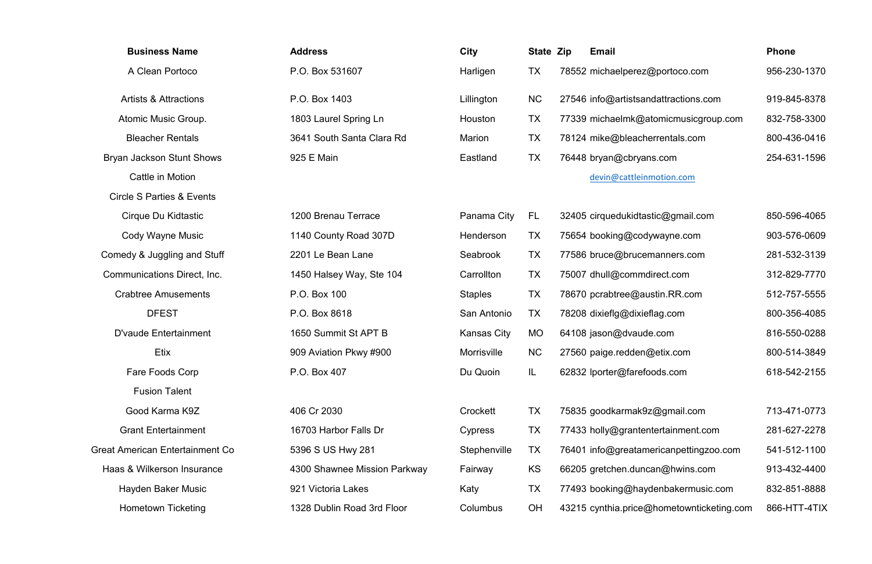- 
- $er@farefoods.com$  618-542-2155

| :9z@gmail.com           | 713-471-0773 |
|-------------------------|--------------|
| entertainment.com       | 281-627-2278 |
| mericanpettingzoo.com   | 541-512-1100 |
| ncan@hwins.com          | 913-432-4400 |
| ydenbakermusic.com      | 832-851-8888 |
| e@hometownticketing.com | 866-HTT-4TIX |

| <b>Business Name</b>                 | <b>Address</b>               | <b>City</b>        | <b>State Zip</b> | <b>Email</b>                              | <b>Phone</b> |
|--------------------------------------|------------------------------|--------------------|------------------|-------------------------------------------|--------------|
| A Clean Portoco                      | P.O. Box 531607              | Harligen           | <b>TX</b>        | 78552 michaelperez@portoco.com            | 956-230-1370 |
| <b>Artists &amp; Attractions</b>     | P.O. Box 1403                | Lillington         | <b>NC</b>        | 27546 info@artistsandattractions.com      | 919-845-8378 |
| Atomic Music Group.                  | 1803 Laurel Spring Ln        | Houston            | <b>TX</b>        | 77339 michaelmk@atomicmusicgroup.com      | 832-758-3300 |
| <b>Bleacher Rentals</b>              | 3641 South Santa Clara Rd    | <b>Marion</b>      | <b>TX</b>        | 78124 mike@bleacherrentals.com            | 800-436-0416 |
| Bryan Jackson Stunt Shows            | 925 E Main                   | Eastland           | <b>TX</b>        | 76448 bryan@cbryans.com                   | 254-631-1596 |
| Cattle in Motion                     |                              |                    |                  | devin@cattleinmotion.com                  |              |
| <b>Circle S Parties &amp; Events</b> |                              |                    |                  |                                           |              |
| Cirque Du Kidtastic                  | 1200 Brenau Terrace          | Panama City        | FL               | 32405 cirquedukidtastic@gmail.com         | 850-596-4065 |
| <b>Cody Wayne Music</b>              | 1140 County Road 307D        | Henderson          | <b>TX</b>        | 75654 booking@codywayne.com               | 903-576-0609 |
| Comedy & Juggling and Stuff          | 2201 Le Bean Lane            | Seabrook           | <b>TX</b>        | 77586 bruce@brucemanners.com              | 281-532-3139 |
| Communications Direct, Inc.          | 1450 Halsey Way, Ste 104     | Carrollton         | <b>TX</b>        | 75007 dhull@commdirect.com                | 312-829-7770 |
| <b>Crabtree Amusements</b>           | P.O. Box 100                 | <b>Staples</b>     | <b>TX</b>        | 78670 pcrabtree@austin.RR.com             | 512-757-5555 |
| <b>DFEST</b>                         | P.O. Box 8618                | San Antonio        | <b>TX</b>        | 78208 dixieflg@dixieflag.com              | 800-356-4085 |
| <b>D'vaude Entertainment</b>         | 1650 Summit St APT B         | <b>Kansas City</b> | <b>MO</b>        | 64108 jason@dvaude.com                    | 816-550-0288 |
| Etix                                 | 909 Aviation Pkwy #900       | <b>Morrisville</b> | <b>NC</b>        | 27560 paige.redden@etix.com               | 800-514-3849 |
| Fare Foods Corp                      | P.O. Box 407                 | Du Quoin           | IL               | 62832 Iporter@farefoods.com               | 618-542-2155 |
| <b>Fusion Talent</b>                 |                              |                    |                  |                                           |              |
| Good Karma K9Z                       | 406 Cr 2030                  | Crockett           | <b>TX</b>        | 75835 goodkarmak9z@gmail.com              | 713-471-0773 |
| <b>Grant Entertainment</b>           | 16703 Harbor Falls Dr        | Cypress            | <b>TX</b>        | 77433 holly@grantentertainment.com        | 281-627-2278 |
| Great American Entertainment Co      | 5396 S US Hwy 281            | Stephenville       | TX               | 76401 info@greatamericanpettingzoo.com    | 541-512-1100 |
| Haas & Wilkerson Insurance           | 4300 Shawnee Mission Parkway | Fairway            | KS               | 66205 gretchen.duncan@hwins.com           | 913-432-4400 |
| Hayden Baker Music                   | 921 Victoria Lakes           | Katy               | <b>TX</b>        | 77493 booking@haydenbakermusic.com        | 832-851-8888 |
| <b>Hometown Ticketing</b>            | 1328 Dublin Road 3rd Floor   | Columbus           | <b>OH</b>        | 43215 cynthia.price@hometownticketing.com | 866-HTT-4TIX |

| z@portoco.com          |
|------------------------|
| andattractions.com     |
| gatomicmusicgroup.com@ |
| herrentals.com:        |
| ans.com                |
|                        |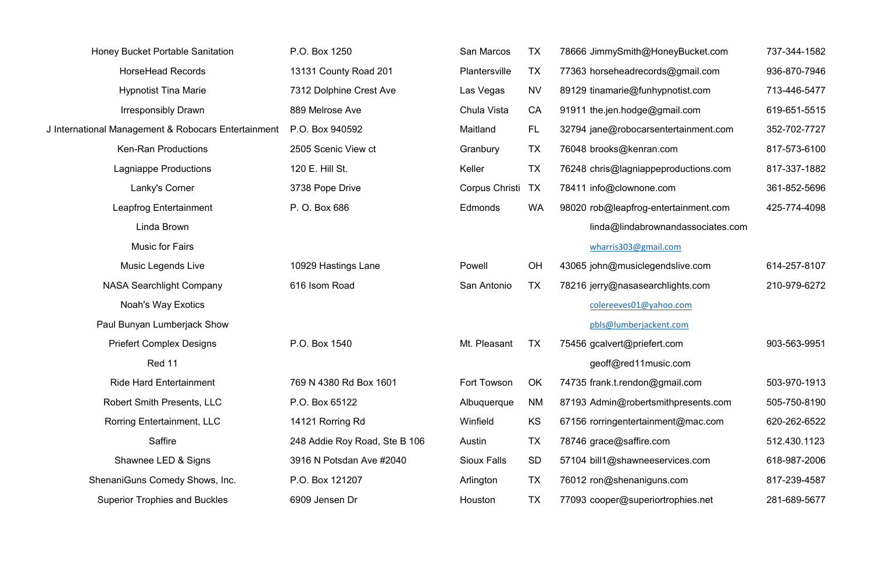| <b>Honey Bucket Portable Sanitation</b>             | P.O. Box 1250                 | <b>San Marcos</b>  | <b>TX</b> | 78666 JimmySmith@HoneyBucket.com     | 737-344-1582 |
|-----------------------------------------------------|-------------------------------|--------------------|-----------|--------------------------------------|--------------|
| <b>HorseHead Records</b>                            | 13131 County Road 201         | Plantersville      | <b>TX</b> | 77363 horseheadrecords@gmail.com     | 936-870-7946 |
| <b>Hypnotist Tina Marie</b>                         | 7312 Dolphine Crest Ave       | Las Vegas          | <b>NV</b> | 89129 tinamarie@funhypnotist.com     | 713-446-5477 |
| <b>Irresponsibly Drawn</b>                          | 889 Melrose Ave               | Chula Vista        | CA        | 91911 the.jen.hodge@gmail.com        | 619-651-5515 |
| J International Management & Robocars Entertainment | P.O. Box 940592               | Maitland           | FL        | 32794 jane@robocarsentertainment.com | 352-702-7727 |
| <b>Ken-Ran Productions</b>                          | 2505 Scenic View ct           | Granbury           | <b>TX</b> | 76048 brooks@kenran.com              | 817-573-6100 |
| Lagniappe Productions                               | 120 E. Hill St.               | Keller             | <b>TX</b> | 76248 chris@lagniappeproductions.com | 817-337-1882 |
| Lanky's Corner                                      | 3738 Pope Drive               | Corpus Christi     | TX        | 78411 info@clownone.com              | 361-852-5696 |
| Leapfrog Entertainment                              | P. O. Box 686                 | Edmonds            | <b>WA</b> | 98020 rob@leapfrog-entertainment.com | 425-774-4098 |
| Linda Brown                                         |                               |                    |           | linda@lindabrownandassociates.com    |              |
| <b>Music for Fairs</b>                              |                               |                    |           | wharris303@gmail.com                 |              |
| <b>Music Legends Live</b>                           | 10929 Hastings Lane           | Powell             | OH        | 43065 john@musiclegendslive.com      | 614-257-8107 |
| <b>NASA Searchlight Company</b>                     | 616 Isom Road                 | San Antonio        | <b>TX</b> | 78216 jerry@nasasearchlights.com     | 210-979-6272 |
| <b>Noah's Way Exotics</b>                           |                               |                    |           | colereeves01@yahoo.com               |              |
| Paul Bunyan Lumberjack Show                         |                               |                    |           | pbls@lumberjackent.com               |              |
| <b>Priefert Complex Designs</b>                     | P.O. Box 1540                 | Mt. Pleasant       | <b>TX</b> | 75456 gcalvert@priefert.com          | 903-563-9951 |
| Red 11                                              |                               |                    |           | geoff@red11music.com                 |              |
| <b>Ride Hard Entertainment</b>                      | 769 N 4380 Rd Box 1601        | Fort Towson        | OK        | 74735 frank.t.rendon@gmail.com       | 503-970-1913 |
| <b>Robert Smith Presents, LLC</b>                   | P.O. Box 65122                | Albuquerque        | <b>NM</b> | 87193 Admin@robertsmithpresents.com  | 505-750-8190 |
| <b>Rorring Entertainment, LLC</b>                   | 14121 Rorring Rd              | Winfield           | KS        | 67156 rorringentertainment@mac.com   | 620-262-6522 |
| Saffire                                             | 248 Addie Roy Road, Ste B 106 | Austin             | <b>TX</b> | 78746 grace@saffire.com              | 512.430.1123 |
| Shawnee LED & Signs                                 | 3916 N Potsdan Ave #2040      | <b>Sioux Falls</b> | <b>SD</b> | 57104 bill1@shawneeservices.com      | 618-987-2006 |
| ShenaniGuns Comedy Shows, Inc.                      | P.O. Box 121207               | Arlington          | <b>TX</b> | 76012 ron@shenaniguns.com            | 817-239-4587 |
| <b>Superior Trophies and Buckles</b>                | 6909 Jensen Dr                | Houston            | <b>TX</b> | 77093 cooper@superiortrophies.net    | 281-689-5677 |